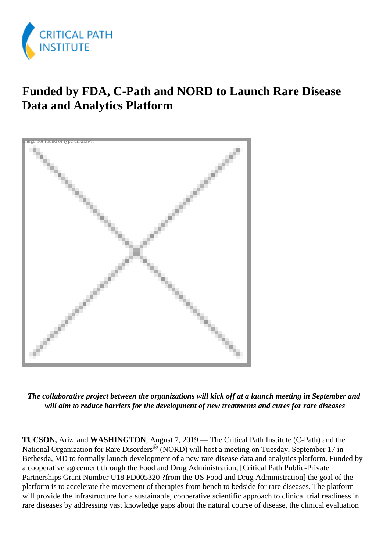

## **Funded by FDA, C-Path and NORD to Launch Rare Disease Data and Analytics Platform**



*The collaborative project between the organizations will kick off at a launch meeting in September and will aim to reduce barriers for the development of new treatments and cures for rare diseases*

**TUCSON,** Ariz. and **WASHINGTON**, August 7, 2019 — The Critical Path Institute (C-Path) and the National Organization for Rare Disorders<sup>®</sup> (NORD) will host a meeting on Tuesday, September 17 in Bethesda, MD to formally launch development of a new rare disease data and analytics platform. Funded by a cooperative agreement through the Food and Drug Administration, [Critical Path Public-Private Partnerships Grant Number U18 FD005320 ?from the US Food and Drug Administration] the goal of the platform is to accelerate the movement of therapies from bench to bedside for rare diseases. The platform will provide the infrastructure for a sustainable, cooperative scientific approach to clinical trial readiness in rare diseases by addressing vast knowledge gaps about the natural course of disease, the clinical evaluation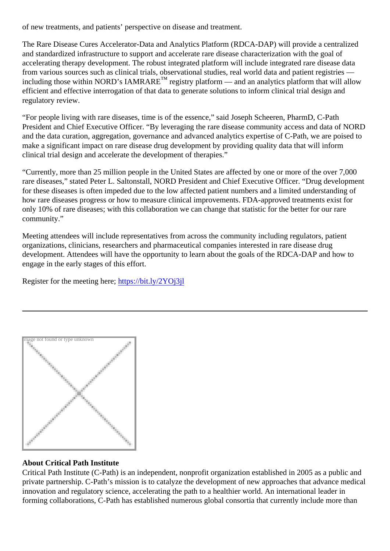of new treatments, and patients' perspective on disease and treatment.

The Rare Disease Cures Accelerator-Data and Analytics Platform (RDCA-DAP) will provide a centralized and standardized infrastructure to support and accelerate rare disease characterization with the goal of accelerating therapy development. The robust integrated platform will include integrated rare disease data from various sources such as clinical trials, observational studies, real world data and patient registries including those within NORD's IAMRARE<sup>™</sup> registry platform — and an analytics platform that will allow efficient and effective interrogation of that data to generate solutions to inform clinical trial design and regulatory review.

"For people living with rare diseases, time is of the essence," said Joseph Scheeren, PharmD, C-Path President and Chief Executive Officer. "By leveraging the rare disease community access and data of NO and the data curation, aggregation, governance and advanced analytics expertise of C-Path, we are poise make a significant impact on rare disease drug development by providing quality data that will inform clinical trial design and accelerate the development of therapies."

"Currently, more than 25 million people in the United States are affected by one or more of the over 7,000 rare diseases," stated Peter L. Saltonstall, NORD President and Chief Executive Officer. "Drug developme for these diseases is often impeded due to the low affected patient numbers and a limited understanding of how rare diseases progress or how to measure clinical improvements. FDA-approved treatments exist for only 10% of rare diseases; with this collaboration we can change that statistic for the better for our rare community."

Meeting attendees will include representatives from across the community including regulators, patient organizations, clinicians, researchers and pharmaceutical companies interested in rare disease drug development. Attendees will have the opportunity to learn about the goals of the RDCA-DAP and how to engage in the early stages of this effort.

Register for the meeting heretips://bit.ly/2YOj3jl

Image not found or type unknown

About Critical Path Institute

Critical Path Institute (C-Path) is an independent, nonprofit organization established in 2005 as a public ar private partnership. C-Path's mission is to catalyze the development of new approaches that advance medical innovation and regulatory science, accelerating the path to a healthier world. An international leader in forming collaborations, C-Path has established numerous global consortia that currently include more than